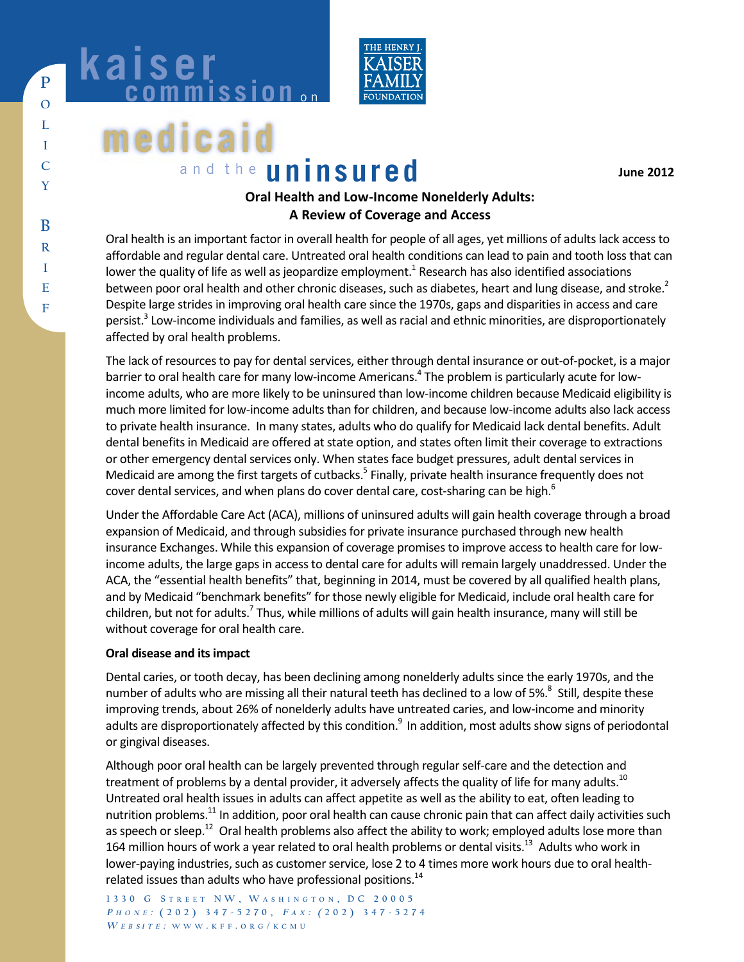

# **medicai** and the **uninsured**

**June 2012**

# **Oral Health and Low-Income Nonelderly Adults: A Review of Coverage and Access**

Oral health is an important factor in overall health for people of all ages, yet millions of adults lack access to affordable and regular dental care. Untreated oral health conditions can lead to pain and tooth loss that can lower the quality of life as well as jeopardize employment. $^1$  Research has also identified associations between poor oral health and other chronic diseases, such as diabetes, heart and lung disease, and stroke.<sup>2</sup> Despite large strides in improving oral health care since the 1970s, gaps and disparities in access and care persist.<sup>3</sup> Low-income individuals and families, as well as racial and ethnic minorities, are disproportionately affected by oral health problems.

The lack of resources to pay for dental services, either through dental insurance or out-of-pocket, is a major barrier to oral health care for many low-income Americans.<sup>4</sup> The problem is particularly acute for lowincome adults, who are more likely to be uninsured than low-income children because Medicaid eligibility is much more limited for low-income adults than for children, and because low-income adults also lack access to private health insurance. In many states, adults who do qualify for Medicaid lack dental benefits. Adult dental benefits in Medicaid are offered at state option, and states often limit their coverage to extractions or other emergency dental services only. When states face budget pressures, adult dental services in Medicaid are among the first targets of cutbacks.<sup>5</sup> Finally, private health insurance frequently does not cover dental services, and when plans do cover dental care, cost-sharing can be high. $^6$ 

Under the Affordable Care Act (ACA), millions of uninsured adults will gain health coverage through a broad expansion of Medicaid, and through subsidies for private insurance purchased through new health insurance Exchanges. While this expansion of coverage promises to improve access to health care for lowincome adults, the large gaps in access to dental care for adults will remain largely unaddressed. Under the ACA, the "essential health benefits" that, beginning in 2014, must be covered by all qualified health plans, and by Medicaid "benchmark benefits" for those newly eligible for Medicaid, include oral health care for children, but not for adults.<sup>7</sup> Thus, while millions of adults will gain health insurance, many will still be without coverage for oral health care.

## **Oral disease and its impact**

Dental caries, or tooth decay, has been declining among nonelderly adults since the early 1970s, and the number of adults who are missing all their natural teeth has declined to a low of 5%.<sup>8</sup> Still, despite these improving trends, about 26% of nonelderly adults have untreated caries, and low-income and minority adults are disproportionately affected by this condition.<sup>9</sup> In addition, most adults show signs of periodontal or gingival diseases.

Although poor oral health can be largely prevented through regular self-care and the detection and treatment of problems by a dental provider, it adversely affects the quality of life for many adults. $^{10}$ Untreated oral health issues in adults can affect appetite as well as the ability to eat, often leading to nutrition problems.<sup>11</sup> In addition, poor oral health can cause chronic pain that can affect daily activities such as speech or sleep.<sup>12</sup> Oral health problems also affect the ability to work; employed adults lose more than 164 million hours of work a year related to oral health problems or dental visits.<sup>13</sup> Adults who work in lower-paying industries, such as customer service, lose 2 to 4 times more work hours due to oral healthrelated issues than adults who have professional positions.<sup>14</sup>

**1330 G S TREET NW, W ASHINGTON , DC 20005 <sup>P</sup> HONE : (202) 347-5270, <sup>F</sup> <sup>A</sup> <sup>X</sup> : ( 202) 347-5274 <sup>W</sup> <sup>E</sup> <sup>B</sup> SI <sup>T</sup> <sup>E</sup> : WWW . KFF . ORG / KCMU**

**P**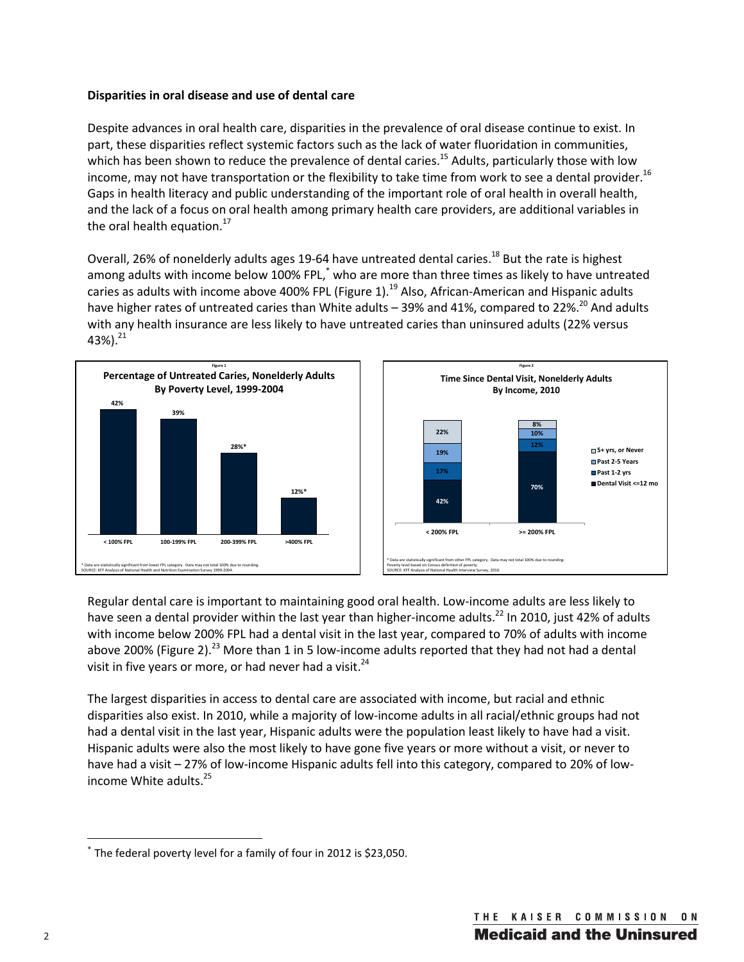## **Disparities in oral disease and use of dental care**

Despite advances in oral health care, disparities in the prevalence of oral disease continue to exist. In part, these disparities reflect systemic factors such as the lack of water fluoridation in communities, which has been shown to reduce the prevalence of dental caries.<sup>15</sup> Adults, particularly those with low income, may not have transportation or the flexibility to take time from work to see a dental provider.<sup>16</sup> Gaps in health literacy and public understanding of the important role of oral health in overall health, and the lack of a focus on oral health among primary health care providers, are additional variables in the oral health equation.<sup>17</sup>

Overall, 26% of nonelderly adults ages 19-64 have untreated dental caries.<sup>18</sup> But the rate is highest among adults with income below 100% FPL, \* who are more than three times as likely to have untreated caries as adults with income above 400% FPL (Figure 1).<sup>19</sup> Also, African-American and Hispanic adults have higher rates of untreated caries than White adults  $-$  39% and 41%, compared to 22%.<sup>20</sup> And adults with any health insurance are less likely to have untreated caries than uninsured adults (22% versus 43%). 21





Regular dental care is important to maintaining good oral health. Low-income adults are less likely to have seen a dental provider within the last year than higher-income adults.<sup>22</sup> In 2010, just 42% of adults with income below 200% FPL had a dental visit in the last year, compared to 70% of adults with income above 200% (Figure 2).<sup>23</sup> More than 1 in 5 low-income adults reported that they had not had a dental visit in five years or more, or had never had a visit.<sup>24</sup>

The largest disparities in access to dental care are associated with income, but racial and ethnic disparities also exist. In 2010, while a majority of low-income adults in all racial/ethnic groups had not had a dental visit in the last year, Hispanic adults were the population least likely to have had a visit. Hispanic adults were also the most likely to have gone five years or more without a visit, or never to have had a visit – 27% of low-income Hispanic adults fell into this category, compared to 20% of lowincome White adults. 25

 <sup>\*</sup> The federal poverty level for a family of four in 2012 is \$23,050.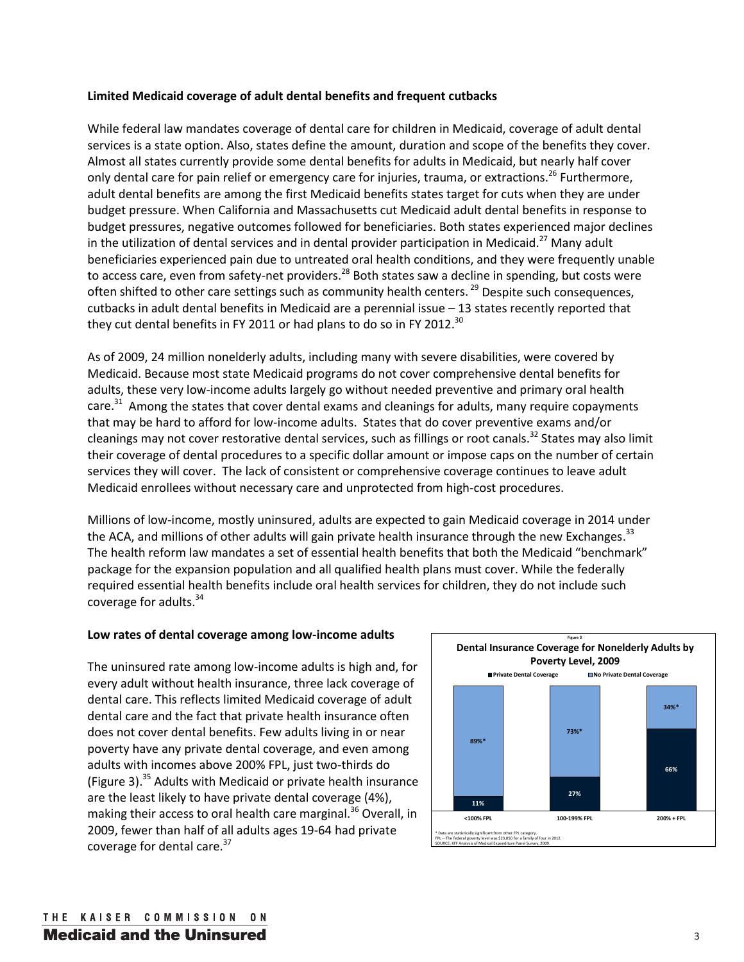### **Limited Medicaid coverage of adult dental benefits and frequent cutbacks**

While federal law mandates coverage of dental care for children in Medicaid, coverage of adult dental services is a state option. Also, states define the amount, duration and scope of the benefits they cover. Almost all states currently provide some dental benefits for adults in Medicaid, but nearly half cover only dental care for pain relief or emergency care for injuries, trauma, or extractions.<sup>26</sup> Furthermore, adult dental benefits are among the first Medicaid benefits states target for cuts when they are under budget pressure. When California and Massachusetts cut Medicaid adult dental benefits in response to budget pressures, negative outcomes followed for beneficiaries. Both states experienced major declines in the utilization of dental services and in dental provider participation in Medicaid.<sup>27</sup> Many adult beneficiaries experienced pain due to untreated oral health conditions, and they were frequently unable to access care, even from safety-net providers.<sup>28</sup> Both states saw a decline in spending, but costs were often shifted to other care settings such as community health centers. <sup>29</sup> Despite such consequences, cutbacks in adult dental benefits in Medicaid are a perennial issue – 13 states recently reported that they cut dental benefits in FY 2011 or had plans to do so in FY 2012. $^{30}$ 

As of 2009, 24 million nonelderly adults, including many with severe disabilities, were covered by Medicaid. Because most state Medicaid programs do not cover comprehensive dental benefits for adults, these very low-income adults largely go without needed preventive and primary oral health care.<sup>31</sup> Among the states that cover dental exams and cleanings for adults, many require copayments that may be hard to afford for low-income adults. States that do cover preventive exams and/or cleanings may not cover restorative dental services, such as fillings or root canals.<sup>32</sup> States may also limit their coverage of dental procedures to a specific dollar amount or impose caps on the number of certain services they will cover. The lack of consistent or comprehensive coverage continues to leave adult Medicaid enrollees without necessary care and unprotected from high-cost procedures.

Millions of low-income, mostly uninsured, adults are expected to gain Medicaid coverage in 2014 under the ACA, and millions of other adults will gain private health insurance through the new Exchanges.<sup>33</sup> The health reform law mandates a set of essential health benefits that both the Medicaid "benchmark" package for the expansion population and all qualified health plans must cover. While the federally required essential health benefits include oral health services for children, they do not include such coverage for adults.<sup>34</sup>

#### **Low rates of dental coverage among low-income adults**

The uninsured rate among low-income adults is high and, for every adult without health insurance, three lack coverage of dental care. This reflects limited Medicaid coverage of adult dental care and the fact that private health insurance often does not cover dental benefits. Few adults living in or near poverty have any private dental coverage, and even among adults with incomes above 200% FPL, just two-thirds do (Figure 3). <sup>35</sup> Adults with Medicaid or private health insurance are the least likely to have private dental coverage (4%), making their access to oral health care marginal.<sup>36</sup> Overall, in 2009, fewer than half of all adults ages 19-64 had private coverage for dental care.<sup>37</sup>

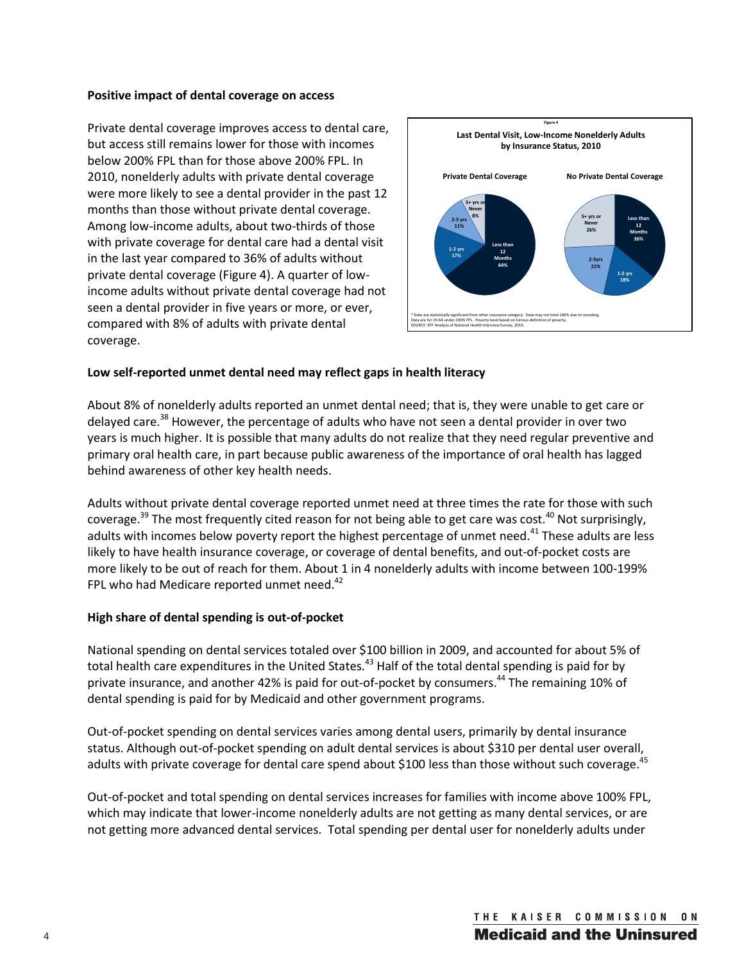#### **Positive impact of dental coverage on access**

Private dental coverage improves access to dental care, but access still remains lower for those with incomes below 200% FPL than for those above 200% FPL. In 2010, nonelderly adults with private dental coverage were more likely to see a dental provider in the past 12 months than those without private dental coverage. Among low-income adults, about two-thirds of those with private coverage for dental care had a dental visit in the last year compared to 36% of adults without private dental coverage (Figure 4). A quarter of lowincome adults without private dental coverage had not seen a dental provider in five years or more, or ever, compared with 8% of adults with private dental coverage.



#### **Low self-reported unmet dental need may reflect gaps in health literacy**

About 8% of nonelderly adults reported an unmet dental need; that is, they were unable to get care or delayed care.<sup>38</sup> However, the percentage of adults who have not seen a dental provider in over two years is much higher. It is possible that many adults do not realize that they need regular preventive and primary oral health care, in part because public awareness of the importance of oral health has lagged behind awareness of other key health needs.

Adults without private dental coverage reported unmet need at three times the rate for those with such coverage.<sup>39</sup> The most frequently cited reason for not being able to get care was cost.<sup>40</sup> Not surprisingly, adults with incomes below poverty report the highest percentage of unmet need.<sup>41</sup> These adults are less likely to have health insurance coverage, or coverage of dental benefits, and out-of-pocket costs are more likely to be out of reach for them. About 1 in 4 nonelderly adults with income between 100-199% FPL who had Medicare reported unmet need. $42$ 

#### **High share of dental spending is out-of-pocket**

National spending on dental services totaled over \$100 billion in 2009, and accounted for about 5% of total health care expenditures in the United States.<sup>43</sup> Half of the total dental spending is paid for by private insurance, and another 42% is paid for out-of-pocket by consumers.<sup>44</sup> The remaining 10% of dental spending is paid for by Medicaid and other government programs.

Out-of-pocket spending on dental services varies among dental users, primarily by dental insurance status. Although out-of-pocket spending on adult dental services is about \$310 per dental user overall, adults with private coverage for dental care spend about \$100 less than those without such coverage.<sup>45</sup>

Out-of-pocket and total spending on dental services increases for families with income above 100% FPL, which may indicate that lower-income nonelderly adults are not getting as many dental services, or are not getting more advanced dental services. Total spending per dental user for nonelderly adults under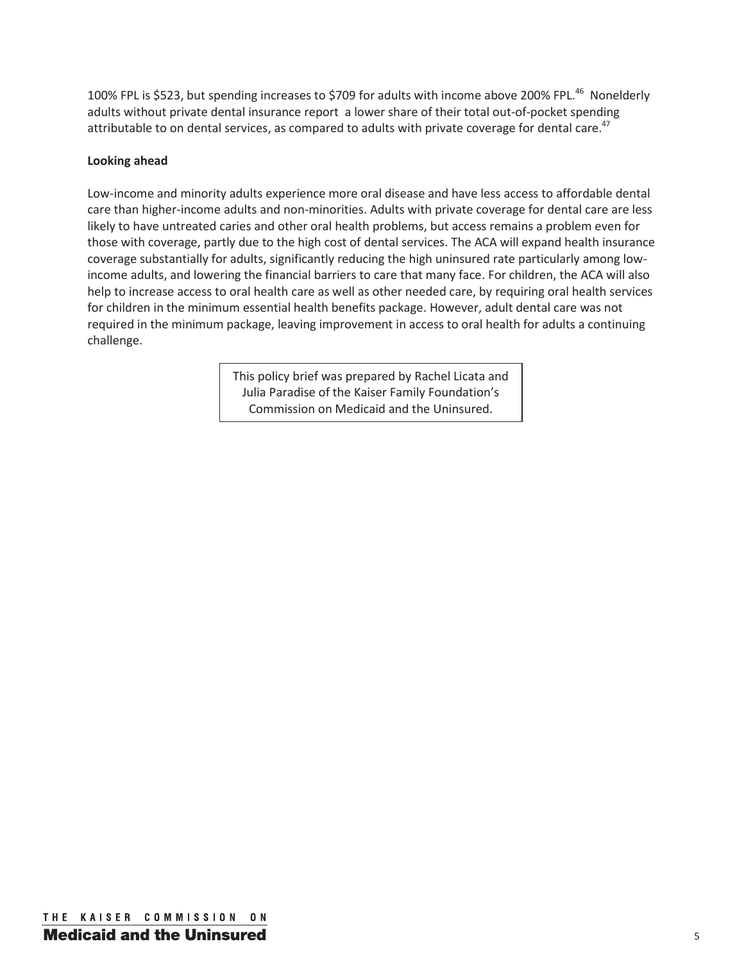100% FPL is \$523, but spending increases to \$709 for adults with income above 200% FPL.<sup>46</sup> Nonelderly adults without private dental insurance report a lower share of their total out-of-pocket spending attributable to on dental services, as compared to adults with private coverage for dental care.<sup>47</sup>

## **Looking ahead**

Low-income and minority adults experience more oral disease and have less access to affordable dental care than higher-income adults and non-minorities. Adults with private coverage for dental care are less likely to have untreated caries and other oral health problems, but access remains a problem even for those with coverage, partly due to the high cost of dental services. The ACA will expand health insurance coverage substantially for adults, significantly reducing the high uninsured rate particularly among lowincome adults, and lowering the financial barriers to care that many face. For children, the ACA will also help to increase access to oral health care as well as other needed care, by requiring oral health services for children in the minimum essential health benefits package. However, adult dental care was not required in the minimum package, leaving improvement in access to oral health for adults a continuing challenge.

> This policy brief was prepared by Rachel Licata and Julia Paradise of the Kaiser Family Foundation's Commission on Medicaid and the Uninsured.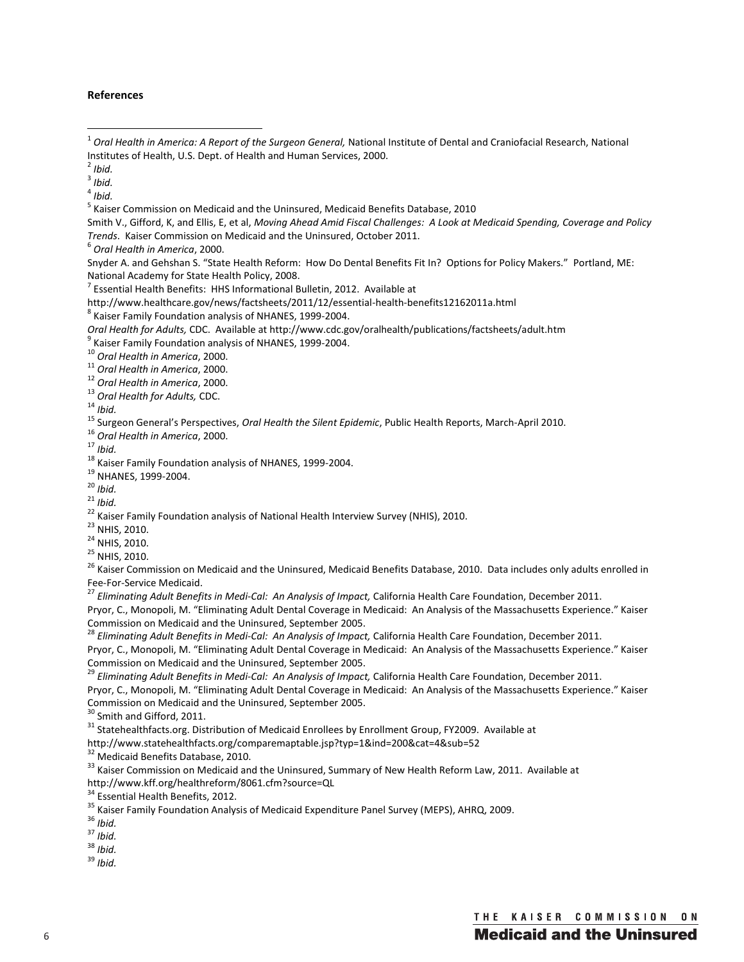#### **References**

<sup>4</sup> *Ibid.*

<sup>5</sup> Kaiser Commission on Medicaid and the Uninsured, Medicaid Benefits Database, 2010

- Smith V., Gifford, K, and Ellis, E, et al, *Moving Ahead Amid Fiscal Challenges: A Look at Medicaid Spending, Coverage and Policy Trends.* Kaiser Commission on Medicaid and the Uninsured, October 2011.<br><sup>6</sup> Oral Health in America, 2000.
- 

Snyder A. and Gehshan S. "State Health Reform: How Do Dental Benefits Fit In? Options for Policy Makers." Portland, ME: National Academy for State Health Policy, 2008.

 $<sup>7</sup>$  Essential Health Benefits: HHS Informational Bulletin, 2012. Available at</sup>

http://www.healthcare.gov/news/factsheets/2011/12/essential-health-benefits12162011a.html<br><sup>8</sup> Kaiser Family Foundation analysis of NHANES, 1999-2004.<br>*Oral Health for Adults,* CDC. Available at http://www.cdc.gov/oralhealt

<sup>9</sup> Kaiser Family Foundation analysis of NHANES, 1999-2004.<br><sup>10</sup> Oral Health in America, 2000.<br><sup>12</sup> Oral Health in America, 2000.<br><sup>12</sup> Oral Health in America, 2000.<br><sup>13</sup> Oral Health for Adults, CDC.<br><sup>14</sup> Ibid.<br><sup>15</sup> Surgeo

<sup>18</sup> Kaiser Family Foundation analysis of NHANES, 1999-2004.<br><sup>19</sup> NHANES, 1999-2004.<br><sup>20</sup> *Ibid.*<br><sup>21</sup> *Ibid.* 

<sup>22</sup> Kaiser Family Foundation analysis of National Health Interview Survey (NHIS), 2010.<br><sup>23</sup> NHIS, 2010.<br><sup>24</sup> NHIS, 2010.<br><sup>25</sup> NHIS, 2010.<br><sup>25</sup> Kaiser Commission on Medicaid and the Uninsured, Medicaid Benefits Database,

<sup>27</sup> *Eliminating Adult Benefits in Medi-Cal: An Analysis of Impact, California Health Care Foundation, December 2011.* 

Pryor, C., Monopoli, M. "Eliminating Adult Dental Coverage in Medicaid: An Analysis of the Massachusetts Experience." Kaiser Commission on Medicaid and the Uninsured, September 2005.

<sup>28</sup> *Eliminating Adult Benefits in Medi-Cal: An Analysis of Impact,* California Health Care Foundation, December 2011.

Pryor, C., Monopoli, M. "Eliminating Adult Dental Coverage in Medicaid: An Analysis of the Massachusetts Experience." Kaiser Commission on Medicaid and the Uninsured, September 2005.

<sup>29</sup> *Eliminating Adult Benefits in Medi-Cal: An Analysis of Impact,* California Health Care Foundation, December 2011.

Pryor, C., Monopoli, M. "Eliminating Adult Dental Coverage in Medicaid: An Analysis of the Massachusetts Experience." Kaiser Commission on Medicaid and the Uninsured, September 2005.<br> $30$  Smith and Gifford, 2011.

 $31$  Statehealthfacts.org. Distribution of Medicaid Enrollees by Enrollment Group, FY2009. Available at

http://www.statehealthfacts.org/comparemaptable.jsp?typ=1&ind=200&cat=4&sub=52<br><sup>32</sup> Medicaid Benefits Database, 2010.

<sup>33</sup> Kaiser Commission on Medicaid and the Uninsured, Summary of New Health Reform Law, 2011. Available at

http://www.kff.org/healthreform/8061.cfm?source=QL 34 Essential Health Benefits, 2012.

<sup>35</sup> Kaiser Family Foundation Analysis of Medicaid Expenditure Panel Survey (MEPS), AHRQ, 2009.<br><sup>36</sup> *Ibid.* 37 *Ibid.* 38 *Ibid.* 38 *Ibid.* 

<sup>39</sup> *Ibid.*

<sup>1</sup> *Oral Health in America: A Report of the Surgeon General,* National Institute of Dental and Craniofacial Research, National Institutes of Health, U.S. Dept. of Health and Human Services, 2000.<br><sup>2</sup> Ibid.

<sup>3</sup> *Ibid.*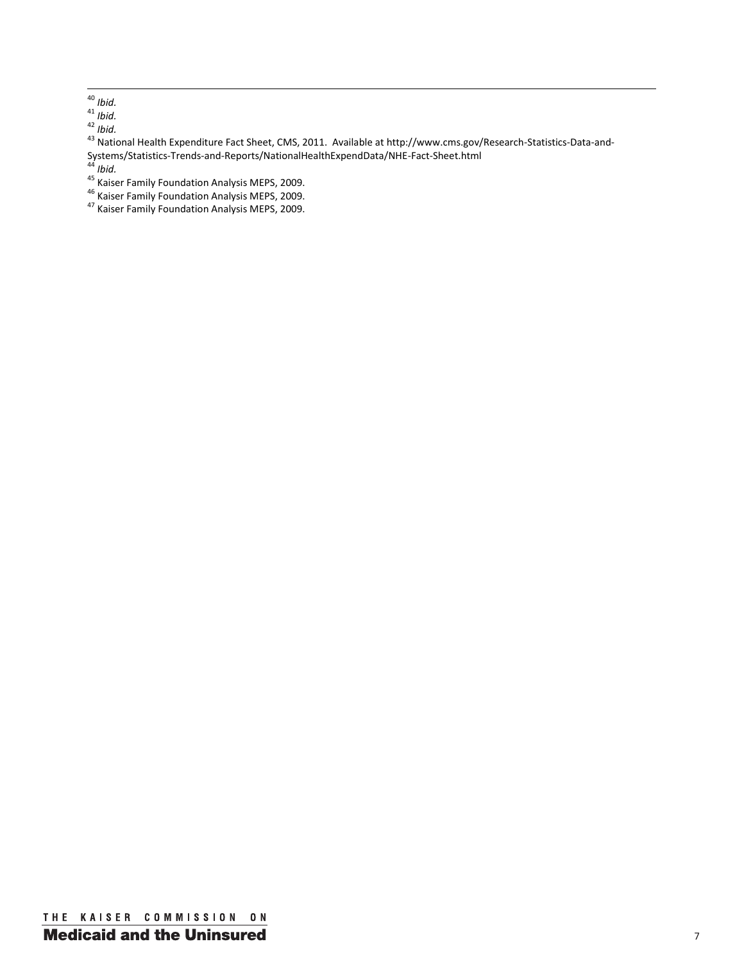<sup>43</sup> National Health Expenditure Fact Sheet, CMS, 2011. Available at http://www.cms.gov/Research-Statistics-Data-and-National Health Experiment Pact Sheet, CMS, 2011. Available at http://www.chis.gov/r<br>Systems/Statistics-Trends-and-Reports/NationalHealthExpendData/NHE-Fact-Sheet.html<br><sup>44</sup> *Ibid.*<br><sup>45</sup> Kaiser Family Foundation Analysis ME

- 
- 
- 

<sup>40</sup> *Ibid.*

<sup>41</sup> *Ibid.* <sup>42</sup> *Ibid.*